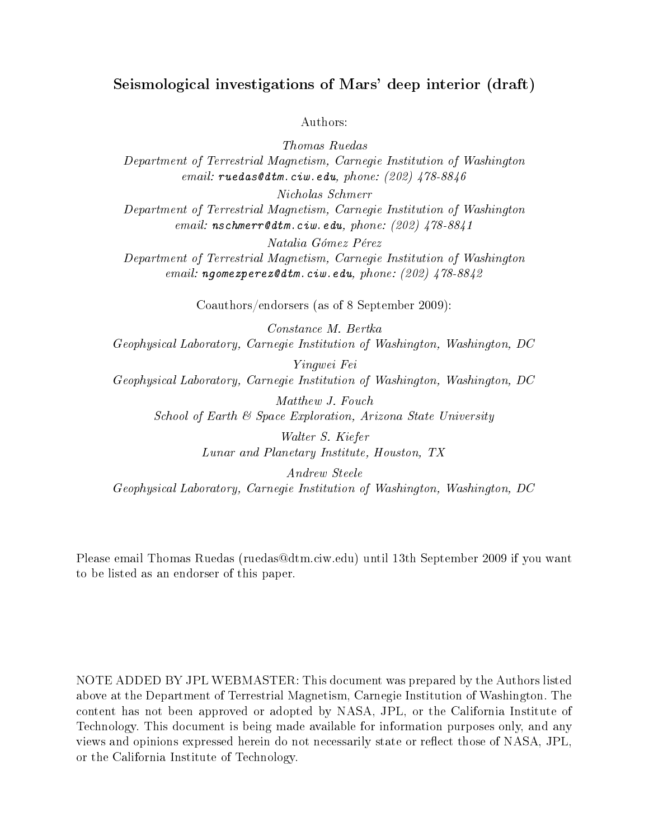# Seismological investigations of Mars' deep interior (draft)

### Authors:

Thomas Ruedas Department of Terrestrial Magnetism, Carnegie Institution of Washington email:  $ruedas@dm.ciw.edu, phone: (202)$   $478-8846$ Nicholas Schmerr Department of Terrestrial Magnetism, Carnegie Institution of Washington email:  $nschmerr$ *edtm.ciw.edu, phone: (202) 478-8841* 

Natalia Gómez Pérez Department of Terrestrial Magnetism, Carnegie Institution of Washington email: ngomezperez@dtm.ciw.edu, phone:  $(202)$   $478-8842$ 

Coauthors/endorsers (as of 8 September 2009):

Constance M. Bertka Geophysical Laboratory, Carnegie Institution of Washington, Washington, DC

Yingwei Fei Geophysical Laboratory, Carnegie Institution of Washington, Washington, DC

Matthew J. Fouch School of Earth & Space Exploration, Arizona State University

> Walter S. Kiefer Lunar and Planetary Institute, Houston, TX

Andrew Steele Geophysical Laboratory, Carnegie Institution of Washington, Washington, DC

Please email Thomas Ruedas (ruedas@dtm.ciw.edu) until 13th September 2009 if you want to be listed as an endorser of this paper.

NOTE ADDED BY JPL WEBMASTER: This document was prepared by the Authors listed above at the Department of Terrestrial Magnetism, Carnegie Institution of Washington. The content has not been approved or adopted by NASA, JPL, or the California Institute of Technology. This document is being made available for information purposes only, and any views and opinions expressed herein do not necessarily state or reflect those of NASA, JPL, or the California Institute of Technology.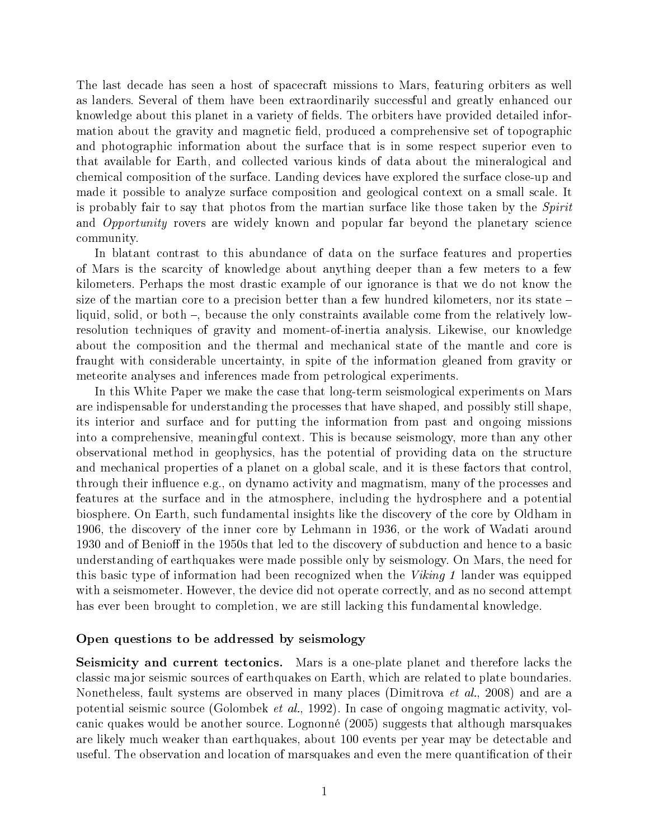The last decade has seen a host of spacecraft missions to Mars, featuring orbiters as well as landers. Several of them have been extraordinarily successful and greatly enhanced our knowledge about this planet in a variety of fields. The orbiters have provided detailed information about the gravity and magnetic field, produced a comprehensive set of topographic and photographic information about the surface that is in some respect superior even to that available for Earth, and collected various kinds of data about the mineralogical and chemical composition of the surface. Landing devices have explored the surface close-up and made it possible to analyze surface composition and geological context on a small scale. It is probably fair to say that photos from the martian surface like those taken by the *Spirit* and Opportunity rovers are widely known and popular far beyond the planetary science community.

In blatant contrast to this abundance of data on the surface features and properties of Mars is the scarcity of knowledge about anything deeper than a few meters to a few kilometers. Perhaps the most drastic example of our ignorance is that we do not know the size of the martian core to a precision better than a few hundred kilometers, nor its state  $$ liquid, solid, or both  $-$ , because the only constraints available come from the relatively lowresolution techniques of gravity and moment-of-inertia analysis. Likewise, our knowledge about the composition and the thermal and mechanical state of the mantle and core is fraught with considerable uncertainty, in spite of the information gleaned from gravity or meteorite analyses and inferences made from petrological experiments.

In this White Paper we make the case that long-term seismological experiments on Mars are indispensable for understanding the processes that have shaped, and possibly still shape, its interior and surface and for putting the information from past and ongoing missions into a comprehensive, meaningful context. This is because seismology, more than any other observational method in geophysics, has the potential of providing data on the structure and mechanical properties of a planet on a global scale, and it is these factors that control, through their influence e.g., on dynamo activity and magmatism, many of the processes and features at the surface and in the atmosphere, including the hydrosphere and a potential biosphere. On Earth, such fundamental insights like the discovery of the core by Oldham in 1906, the discovery of the inner core by Lehmann in 1936, or the work of Wadati around 1930 and of Benioff in the 1950s that led to the discovery of subduction and hence to a basic understanding of earthquakes were made possible only by seismology. On Mars, the need for this basic type of information had been recognized when the  $Viking 1$  lander was equipped with a seismometer. However, the device did not operate correctly, and as no second attempt has ever been brought to completion, we are still lacking this fundamental knowledge.

#### Open questions to be addressed by seismology

Seismicity and current tectonics. Mars is a one-plate planet and therefore lacks the classic major seismic sources of earthquakes on Earth, which are related to plate boundaries. Nonetheless, fault systems are observed in many places (Dimitrova *et al.*, 2008) and are a potential seismic source (Golombek et al., 1992). In case of ongoing magmatic activity, volcanic quakes would be another source. Lognonné (2005) suggests that although marsquakes are likely much weaker than earthquakes, about 100 events per year may be detectable and useful. The observation and location of marsquakes and even the mere quantification of their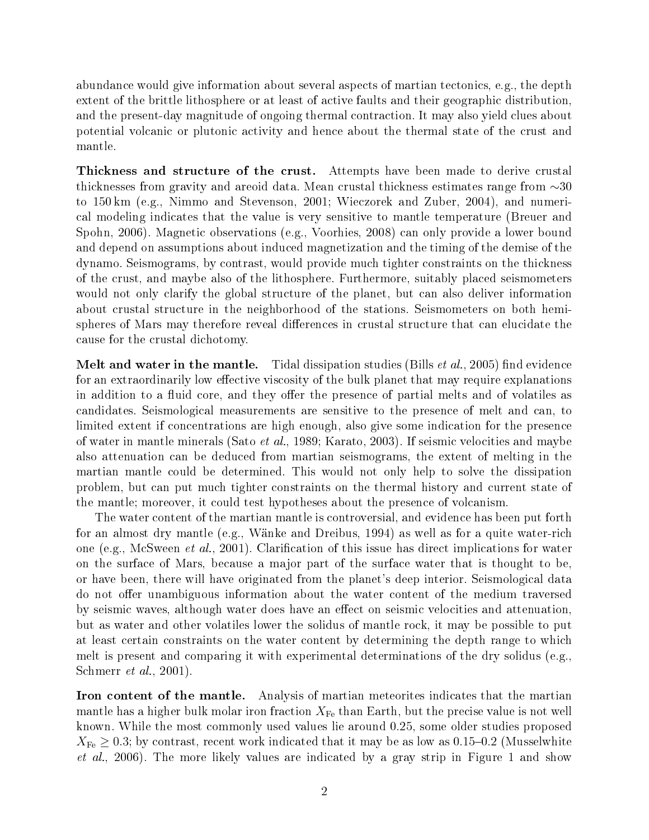abundance would give information about several aspects of martian tectonics, e.g., the depth extent of the brittle lithosphere or at least of active faults and their geographic distribution, and the present-day magnitude of ongoing thermal contraction. It may also yield clues about potential volcanic or plutonic activity and hence about the thermal state of the crust and mantle.

Thickness and structure of the crust. Attempts have been made to derive crustal thicknesses from gravity and areoid data. Mean crustal thickness estimates range from ∼30 to 150 km (e.g., Nimmo and Stevenson, 2001; Wieczorek and Zuber, 2004), and numerical modeling indicates that the value is very sensitive to mantle temperature (Breuer and Spohn, 2006). Magnetic observations (e.g., Voorhies, 2008) can only provide a lower bound and depend on assumptions about induced magnetization and the timing of the demise of the dynamo. Seismograms, by contrast, would provide much tighter constraints on the thickness of the crust, and maybe also of the lithosphere. Furthermore, suitably placed seismometers would not only clarify the global structure of the planet, but can also deliver information about crustal structure in the neighborhood of the stations. Seismometers on both hemispheres of Mars may therefore reveal differences in crustal structure that can elucidate the cause for the crustal dichotomy.

**Melt and water in the mantle.** Tidal dissipation studies (Bills *et al.*, 2005) find evidence for an extraordinarily low effective viscosity of the bulk planet that may require explanations in addition to a fluid core, and they offer the presence of partial melts and of volatiles as candidates. Seismological measurements are sensitive to the presence of melt and can, to limited extent if concentrations are high enough, also give some indication for the presence of water in mantle minerals (Sato et al., 1989; Karato, 2003). If seismic velocities and maybe also attenuation can be deduced from martian seismograms, the extent of melting in the martian mantle could be determined. This would not only help to solve the dissipation problem, but can put much tighter constraints on the thermal history and current state of the mantle; moreover, it could test hypotheses about the presence of volcanism.

The water content of the martian mantle is controversial, and evidence has been put forth for an almost dry mantle (e.g., Wänke and Dreibus, 1994) as well as for a quite water-rich one (e.g., McSween *et al.*, 2001). Clarification of this issue has direct implications for water on the surface of Mars, because a major part of the surface water that is thought to be, or have been, there will have originated from the planet's deep interior. Seismological data do not offer unambiguous information about the water content of the medium traversed by seismic waves, although water does have an effect on seismic velocities and attenuation, but as water and other volatiles lower the solidus of mantle rock, it may be possible to put at least certain constraints on the water content by determining the depth range to which melt is present and comparing it with experimental determinations of the dry solidus (e.g., Schmerr et al., 2001).

Iron content of the mantle. Analysis of martian meteorites indicates that the martian mantle has a higher bulk molar iron fraction  $X_{\text{Fe}}$  than Earth, but the precise value is not well known. While the most commonly used values lie around 0.25, some older studies proposed  $X_{\text{Fe}} \geq 0.3$ ; by contrast, recent work indicated that it may be as low as 0.15–0.2 (Musselwhite *et al.*, 2006). The more likely values are indicated by a gray strip in Figure 1 and show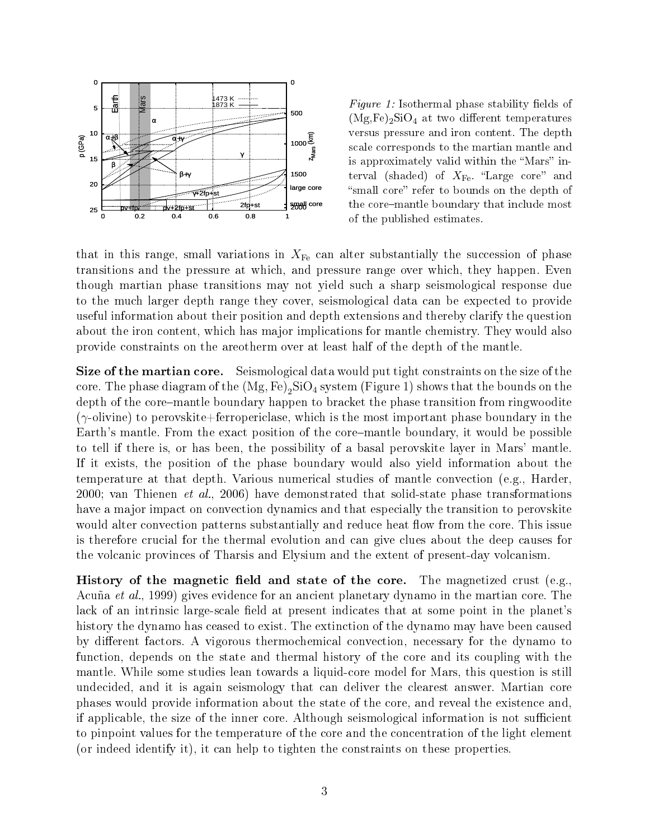

Figure 1: Isothermal phase stability fields of  $(Mg,Fe)_2SiO_4$  at two different temperatures versus pressure and iron content. The depth scale corresponds to the martian mantle and is approximately valid within the "Mars" interval (shaded) of  $X_{\text{Fe}}$ . "Large core" and "small core" refer to bounds on the depth of the core-mantle boundary that include most of the published estimates.

that in this range, small variations in  $X_{\text{Fe}}$  can alter substantially the succession of phase transitions and the pressure at which, and pressure range over which, they happen. Even though martian phase transitions may not yield such a sharp seismological response due to the much larger depth range they cover, seismological data can be expected to provide useful information about their position and depth extensions and thereby clarify the question about the iron content, which has major implications for mantle chemistry. They would also provide constraints on the areotherm over at least half of the depth of the mantle.

Size of the martian core. Seismological data would put tight constraints on the size of the core. The phase diagram of the  $(\mathrm{Mg, Fe})_2 \mathrm{SiO_4}$  system (Figure 1) shows that the bounds on the depth of the core-mantle boundary happen to bracket the phase transition from ringwoodite  $(\gamma$ -olivine) to perovskite+ferropericlase, which is the most important phase boundary in the Earth's mantle. From the exact position of the core-mantle boundary, it would be possible to tell if there is, or has been, the possibility of a basal perovskite layer in Mars' mantle. If it exists, the position of the phase boundary would also yield information about the temperature at that depth. Various numerical studies of mantle convection (e.g., Harder, 2000; van Thienen *et al.*, 2006) have demonstrated that solid-state phase transformations have a major impact on convection dynamics and that especially the transition to perovskite would alter convection patterns substantially and reduce heat flow from the core. This issue is therefore crucial for the thermal evolution and can give clues about the deep causes for the volcanic provinces of Tharsis and Elysium and the extent of present-day volcanism.

History of the magnetic field and state of the core. The magnetized crust (e.g., Acuña et al., 1999) gives evidence for an ancient planetary dynamo in the martian core. The lack of an intrinsic large-scale field at present indicates that at some point in the planet's history the dynamo has ceased to exist. The extinction of the dynamo may have been caused by different factors. A vigorous thermochemical convection, necessary for the dynamo to function, depends on the state and thermal history of the core and its coupling with the mantle. While some studies lean towards a liquid-core model for Mars, this question is still undecided, and it is again seismology that can deliver the clearest answer. Martian core phases would provide information about the state of the core, and reveal the existence and, if applicable, the size of the inner core. Although seismological information is not sufficient to pinpoint values for the temperature of the core and the concentration of the light element (or indeed identify it), it can help to tighten the constraints on these properties.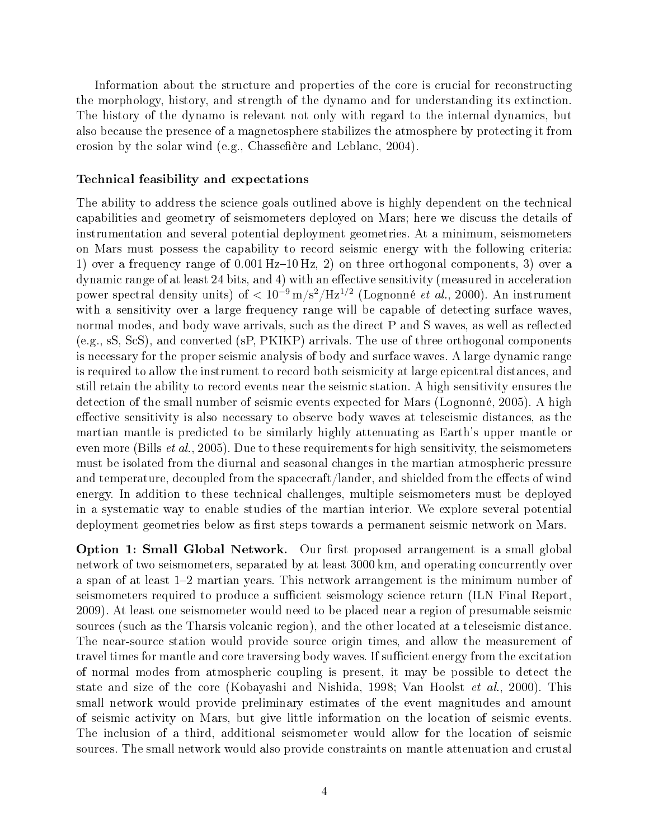Information about the structure and properties of the core is crucial for reconstructing the morphology, history, and strength of the dynamo and for understanding its extinction. The history of the dynamo is relevant not only with regard to the internal dynamics, but also because the presence of a magnetosphere stabilizes the atmosphere by protecting it from erosion by the solar wind (e.g., Chassefiere and Leblanc, 2004).

#### Technical feasibility and expectations

The ability to address the science goals outlined above is highly dependent on the technical capabilities and geometry of seismometers deployed on Mars; here we discuss the details of instrumentation and several potential deployment geometries. At a minimum, seismometers on Mars must possess the capability to record seismic energy with the following criteria: 1) over a frequency range of  $0.001$  Hz-10 Hz, 2) on three orthogonal components, 3) over a dynamic range of at least 24 bits, and 4) with an effective sensitivity (measured in acceleration power spectral density units) of  $< 10^{-9} \text{ m/s}^2/\text{Hz}^{1/2}$  (Lognonné *et al.*, 2000). An instrument with a sensitivity over a large frequency range will be capable of detecting surface waves. normal modes, and body wave arrivals, such as the direct P and S waves, as well as reflected (e.g., sS, ScS), and converted (sP, PKIKP) arrivals. The use of three orthogonal components is necessary for the proper seismic analysis of body and surface waves. A large dynamic range is required to allow the instrument to record both seismicity at large epicentral distances, and still retain the ability to record events near the seismic station. A high sensitivity ensures the detection of the small number of seismic events expected for Mars (Lognonné, 2005). A high effective sensitivity is also necessary to observe body waves at teleseismic distances, as the martian mantle is predicted to be similarly highly attenuating as Earth's upper mantle or even more (Bills *et al.*, 2005). Due to these requirements for high sensitivity, the seismometers must be isolated from the diurnal and seasonal changes in the martian atmospheric pressure and temperature, decoupled from the spacecraft/lander, and shielded from the effects of wind energy. In addition to these technical challenges, multiple seismometers must be deployed in a systematic way to enable studies of the martian interior. We explore several potential deployment geometries below as first steps towards a permanent seismic network on Mars.

**Option 1: Small Global Network.** Our first proposed arrangement is a small global network of two seismometers, separated by at least 3000 km, and operating concurrently over a span of at least 12 martian years. This network arrangement is the minimum number of seismometers required to produce a sufficient seismology science return (ILN Final Report, 2009). At least one seismometer would need to be placed near a region of presumable seismic sources (such as the Tharsis volcanic region), and the other located at a teleseismic distance. The near-source station would provide source origin times, and allow the measurement of travel times for mantle and core traversing body waves. If sufficient energy from the excitation of normal modes from atmospheric coupling is present, it may be possible to detect the state and size of the core (Kobayashi and Nishida, 1998; Van Hoolst et al., 2000). This small network would provide preliminary estimates of the event magnitudes and amount of seismic activity on Mars, but give little information on the location of seismic events. The inclusion of a third, additional seismometer would allow for the location of seismic sources. The small network would also provide constraints on mantle attenuation and crustal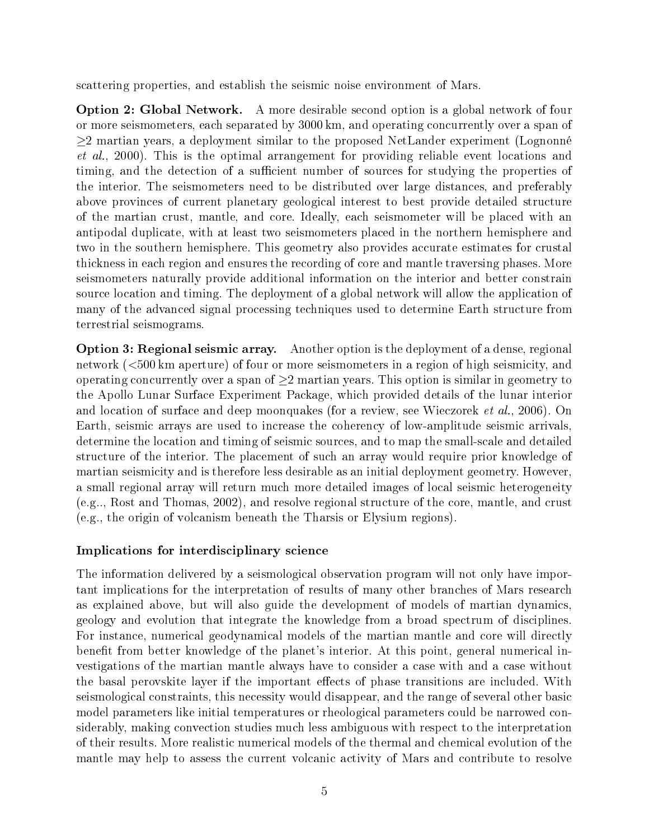scattering properties, and establish the seismic noise environment of Mars.

Option 2: Global Network. A more desirable second option is a global network of four or more seismometers, each separated by 3000 km, and operating concurrently over a span of ≥2 martian years, a deployment similar to the proposed NetLander experiment (Lognonné et al., 2000). This is the optimal arrangement for providing reliable event locations and timing, and the detection of a sufficient number of sources for studying the properties of the interior. The seismometers need to be distributed over large distances, and preferably above provinces of current planetary geological interest to best provide detailed structure of the martian crust, mantle, and core. Ideally, each seismometer will be placed with an antipodal duplicate, with at least two seismometers placed in the northern hemisphere and two in the southern hemisphere. This geometry also provides accurate estimates for crustal thickness in each region and ensures the recording of core and mantle traversing phases. More seismometers naturally provide additional information on the interior and better constrain source location and timing. The deployment of a global network will allow the application of many of the advanced signal processing techniques used to determine Earth structure from terrestrial seismograms.

Option 3: Regional seismic array. Another option is the deployment of a dense, regional network (<500 km aperture) of four or more seismometers in a region of high seismicity, and operating concurrently over a span of  $\geq 2$  martian years. This option is similar in geometry to the Apollo Lunar Surface Experiment Package, which provided details of the lunar interior and location of surface and deep moonquakes (for a review, see Wieczorek et al., 2006). On Earth, seismic arrays are used to increase the coherency of low-amplitude seismic arrivals, determine the location and timing of seismic sources, and to map the small-scale and detailed structure of the interior. The placement of such an array would require prior knowledge of martian seismicity and is therefore less desirable as an initial deployment geometry. However, a small regional array will return much more detailed images of local seismic heterogeneity (e.g.., Rost and Thomas, 2002), and resolve regional structure of the core, mantle, and crust (e.g., the origin of volcanism beneath the Tharsis or Elysium regions).

## Implications for interdisciplinary science

The information delivered by a seismological observation program will not only have important implications for the interpretation of results of many other branches of Mars research as explained above, but will also guide the development of models of martian dynamics, geology and evolution that integrate the knowledge from a broad spectrum of disciplines. For instance, numerical geodynamical models of the martian mantle and core will directly benefit from better knowledge of the planet's interior. At this point, general numerical investigations of the martian mantle always have to consider a case with and a case without the basal perovskite layer if the important effects of phase transitions are included. With seismological constraints, this necessity would disappear, and the range of several other basic model parameters like initial temperatures or rheological parameters could be narrowed considerably, making convection studies much less ambiguous with respect to the interpretation of their results. More realistic numerical models of the thermal and chemical evolution of the mantle may help to assess the current volcanic activity of Mars and contribute to resolve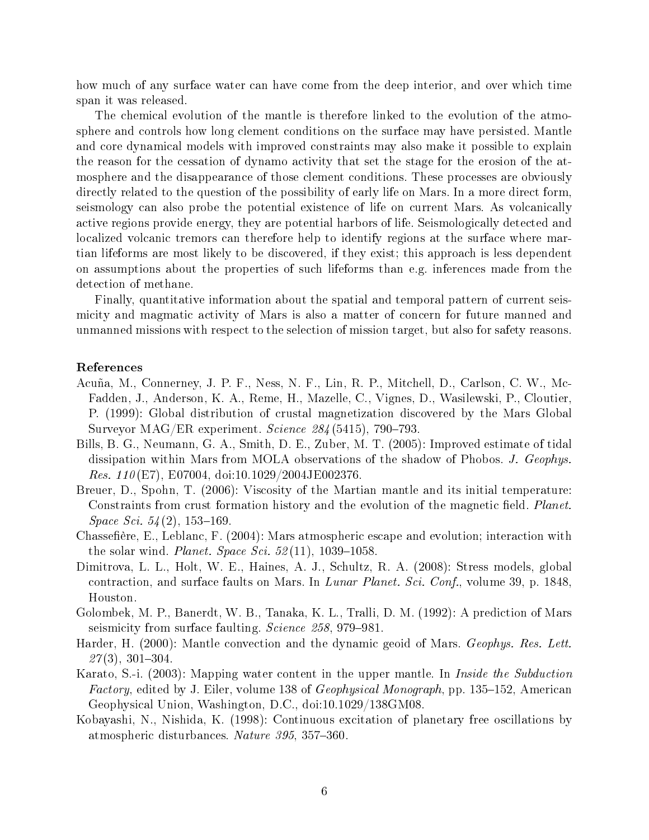how much of any surface water can have come from the deep interior, and over which time span it was released.

The chemical evolution of the mantle is therefore linked to the evolution of the atmosphere and controls how long clement conditions on the surface may have persisted. Mantle and core dynamical models with improved constraints may also make it possible to explain the reason for the cessation of dynamo activity that set the stage for the erosion of the atmosphere and the disappearance of those clement conditions. These processes are obviously directly related to the question of the possibility of early life on Mars. In a more direct form, seismology can also probe the potential existence of life on current Mars. As volcanically active regions provide energy, they are potential harbors of life. Seismologically detected and localized volcanic tremors can therefore help to identify regions at the surface where martian lifeforms are most likely to be discovered, if they exist; this approach is less dependent on assumptions about the properties of such lifeforms than e.g. inferences made from the detection of methane.

Finally, quantitative information about the spatial and temporal pattern of current seismicity and magmatic activity of Mars is also a matter of concern for future manned and unmanned missions with respect to the selection of mission target, but also for safety reasons.

#### References

- Acuña, M., Connerney, J. P. F., Ness, N. F., Lin, R. P., Mitchell, D., Carlson, C. W., Mc-Fadden, J., Anderson, K. A., Reme, H., Mazelle, C., Vignes, D., Wasilewski, P., Cloutier, P. (1999): Global distribution of crustal magnetization discovered by the Mars Global Surveyor MAG/ER experiment. Science  $284(5415)$ , 790-793.
- Bills, B. G., Neumann, G. A., Smith, D. E., Zuber, M. T. (2005): Improved estimate of tidal dissipation within Mars from MOLA observations of the shadow of Phobos. J. Geophys. *Res.* 110(E7), E07004, doi:10.1029/2004JE002376.
- Breuer, D., Spohn, T. (2006): Viscosity of the Martian mantle and its initial temperature: Constraints from crust formation history and the evolution of the magnetic field. Planet.  $Space\, Sci. \, 54(2),\, 153-169.$
- Chassefière, E., Leblanc, F. (2004): Mars atmospheric escape and evolution; interaction with the solar wind. *Planet. Space Sci.*  $52(11)$ ,  $1039-1058$ .
- Dimitrova, L. L., Holt, W. E., Haines, A. J., Schultz, R. A. (2008): Stress models, global contraction, and surface faults on Mars. In Lunar Planet. Sci. Conf., volume 39, p. 1848, Houston.
- Golombek, M. P., Banerdt, W. B., Tanaka, K. L., Tralli, D. M. (1992): A prediction of Mars seismicity from surface faulting. Science 258, 979–981.
- Harder, H. (2000): Mantle convection and the dynamic geoid of Mars. Geophys. Res. Lett.  $27(3)$ , 301-304.
- Karato, S.-i. (2003): Mapping water content in the upper mantle. In *Inside the Subduction Factory*, edited by J. Eiler, volume 138 of *Geophysical Monograph*, pp. 135–152, American Geophysical Union, Washington, D.C., doi:10.1029/138GM08.
- Kobayashi, N., Nishida, K. (1998): Continuous excitation of planetary free oscillations by atmospheric disturbances. Nature 395, 357-360.